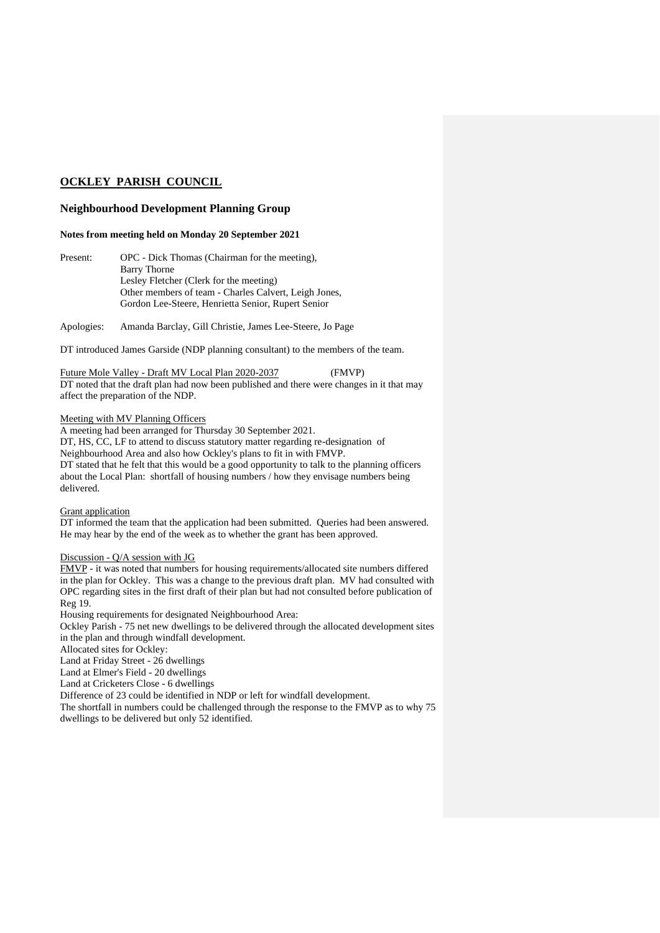# **OCKLEY PARISH COUNCIL**

## **Neighbourhood Development Planning Group**

#### **Notes from meeting held on Monday 20 September 2021**

Present: OPC - Dick Thomas (Chairman for the meeting), Barry Thorne Lesley Fletcher (Clerk for the meeting) Other members of team - Charles Calvert, Leigh Jones, Gordon Lee-Steere, Henrietta Senior, Rupert Senior

Apologies: Amanda Barclay, Gill Christie, James Lee-Steere, Jo Page

DT introduced James Garside (NDP planning consultant) to the members of the team.

Future Mole Valley - Draft MV Local Plan 2020-2037 (FMVP) DT noted that the draft plan had now been published and there were changes in it that may affect the preparation of the NDP.

#### Meeting with MV Planning Officers

A meeting had been arranged for Thursday 30 September 2021. DT, HS, CC, LF to attend to discuss statutory matter regarding re-designation of Neighbourhood Area and also how Ockley's plans to fit in with FMVP. DT stated that he felt that this would be a good opportunity to talk to the planning officers about the Local Plan: shortfall of housing numbers / how they envisage numbers being delivered.

#### Grant application

DT informed the team that the application had been submitted. Queries had been answered. He may hear by the end of the week as to whether the grant has been approved.

## Discussion - Q/A session with JG

FMVP - it was noted that numbers for housing requirements/allocated site numbers differed in the plan for Ockley. This was a change to the previous draft plan. MV had consulted with OPC regarding sites in the first draft of their plan but had not consulted before publication of Reg 19.

Housing requirements for designated Neighbourhood Area:

Ockley Parish - 75 net new dwellings to be delivered through the allocated development sites in the plan and through windfall development.

Allocated sites for Ockley:

Land at Friday Street - 26 dwellings

Land at Elmer's Field - 20 dwellings

Land at Cricketers Close - 6 dwellings

Difference of 23 could be identified in NDP or left for windfall development.

The shortfall in numbers could be challenged through the response to the FMVP as to why 75 dwellings to be delivered but only 52 identified.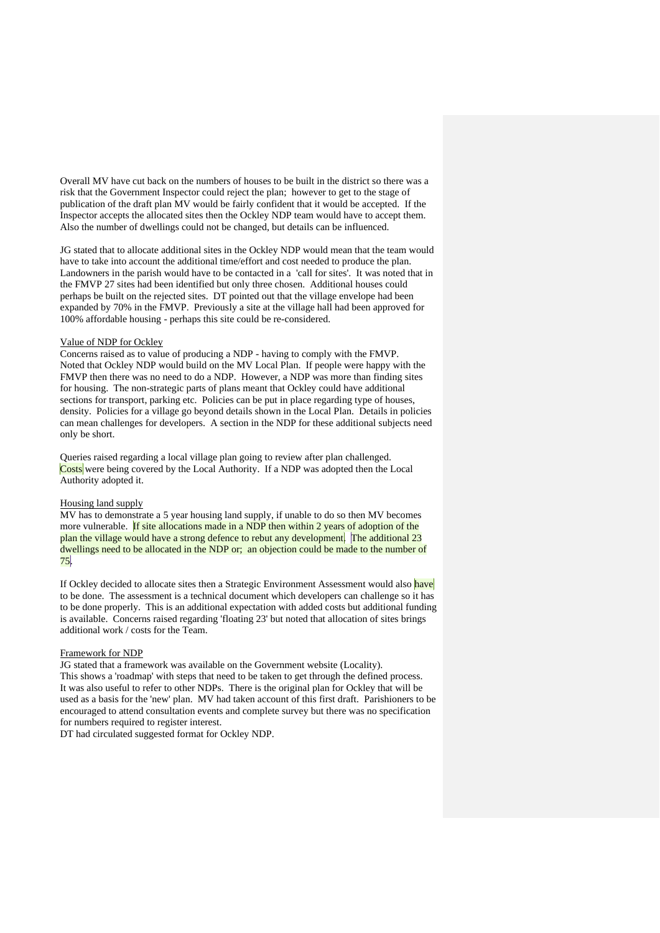Overall MV have cut back on the numbers of houses to be built in the district so there was a risk that the Government Inspector could reject the plan; however to get to the stage of publication of the draft plan MV would be fairly confident that it would be accepted. If the Inspector accepts the allocated sites then the Ockley NDP team would have to accept them. Also the number of dwellings could not be changed, but details can be influenced.

JG stated that to allocate additional sites in the Ockley NDP would mean that the team would have to take into account the additional time/effort and cost needed to produce the plan. Landowners in the parish would have to be contacted in a 'call for sites'. It was noted that in the FMVP 27 sites had been identified but only three chosen. Additional houses could perhaps be built on the rejected sites. DT pointed out that the village envelope had been expanded by 70% in the FMVP. Previously a site at the village hall had been approved for 100% affordable housing - perhaps this site could be re-considered.

#### Value of NDP for Ockley

Concerns raised as to value of producing a NDP - having to comply with the FMVP. Noted that Ockley NDP would build on the MV Local Plan. If people were happy with the FMVP then there was no need to do a NDP. However, a NDP was more than finding sites for housing. The non-strategic parts of plans meant that Ockley could have additional sections for transport, parking etc. Policies can be put in place regarding type of houses, density. Policies for a village go beyond details shown in the Local Plan. Details in policies can mean challenges for developers. A section in the NDP for these additional subjects need only be short.

Queries raised regarding a local village plan going to review after plan challenged. Costs were being covered by the Local Authority. If a NDP was adopted then the Local Authority adopted it.

### Housing land supply

MV has to demonstrate a 5 year housing land supply, if unable to do so then MV becomes more vulnerable. If site allocations made in a NDP then within 2 years of adoption of the plan the village would have a strong defence to rebut any development. The additional 23 dwellings need to be allocated in the NDP or; an objection could be made to the number of 75.

If Ockley decided to allocate sites then a Strategic Environment Assessment would also have to be done. The assessment is a technical document which developers can challenge so it has to be done properly. This is an additional expectation with added costs but additional funding is available. Concerns raised regarding 'floating 23' but noted that allocation of sites brings additional work / costs for the Team.

#### Framework for NDP

JG stated that a framework was available on the Government website (Locality). This shows a 'roadmap' with steps that need to be taken to get through the defined process. It was also useful to refer to other NDPs. There is the original plan for Ockley that will be used as a basis for the 'new' plan. MV had taken account of this first draft. Parishioners to be encouraged to attend consultation events and complete survey but there was no specification

for numbers required to register interest.

DT had circulated suggested format for Ockley NDP.